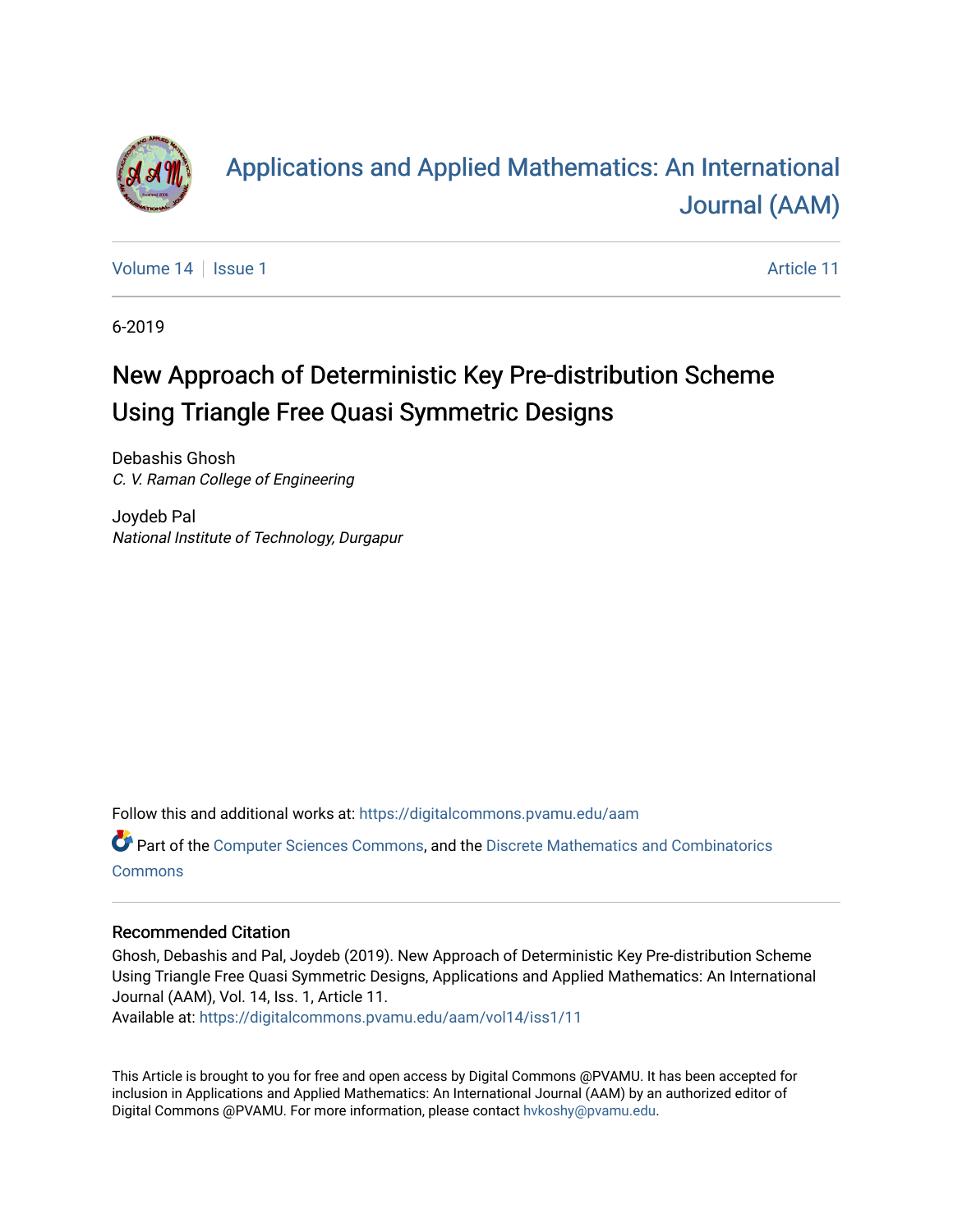

# [Applications and Applied Mathematics: An International](https://digitalcommons.pvamu.edu/aam)  [Journal \(AAM\)](https://digitalcommons.pvamu.edu/aam)

[Volume 14](https://digitalcommons.pvamu.edu/aam/vol14) | [Issue 1](https://digitalcommons.pvamu.edu/aam/vol14/iss1) Article 11

6-2019

# New Approach of Deterministic Key Pre-distribution Scheme Using Triangle Free Quasi Symmetric Designs

Debashis Ghosh C. V. Raman College of Engineering

Joydeb Pal National Institute of Technology, Durgapur

Follow this and additional works at: [https://digitalcommons.pvamu.edu/aam](https://digitalcommons.pvamu.edu/aam?utm_source=digitalcommons.pvamu.edu%2Faam%2Fvol14%2Fiss1%2F11&utm_medium=PDF&utm_campaign=PDFCoverPages) 

Part of the [Computer Sciences Commons](http://network.bepress.com/hgg/discipline/142?utm_source=digitalcommons.pvamu.edu%2Faam%2Fvol14%2Fiss1%2F11&utm_medium=PDF&utm_campaign=PDFCoverPages), and the [Discrete Mathematics and Combinatorics](http://network.bepress.com/hgg/discipline/178?utm_source=digitalcommons.pvamu.edu%2Faam%2Fvol14%2Fiss1%2F11&utm_medium=PDF&utm_campaign=PDFCoverPages)  [Commons](http://network.bepress.com/hgg/discipline/178?utm_source=digitalcommons.pvamu.edu%2Faam%2Fvol14%2Fiss1%2F11&utm_medium=PDF&utm_campaign=PDFCoverPages)

#### Recommended Citation

Ghosh, Debashis and Pal, Joydeb (2019). New Approach of Deterministic Key Pre-distribution Scheme Using Triangle Free Quasi Symmetric Designs, Applications and Applied Mathematics: An International Journal (AAM), Vol. 14, Iss. 1, Article 11.

Available at: [https://digitalcommons.pvamu.edu/aam/vol14/iss1/11](https://digitalcommons.pvamu.edu/aam/vol14/iss1/11?utm_source=digitalcommons.pvamu.edu%2Faam%2Fvol14%2Fiss1%2F11&utm_medium=PDF&utm_campaign=PDFCoverPages)

This Article is brought to you for free and open access by Digital Commons @PVAMU. It has been accepted for inclusion in Applications and Applied Mathematics: An International Journal (AAM) by an authorized editor of Digital Commons @PVAMU. For more information, please contact [hvkoshy@pvamu.edu.](mailto:hvkoshy@pvamu.edu)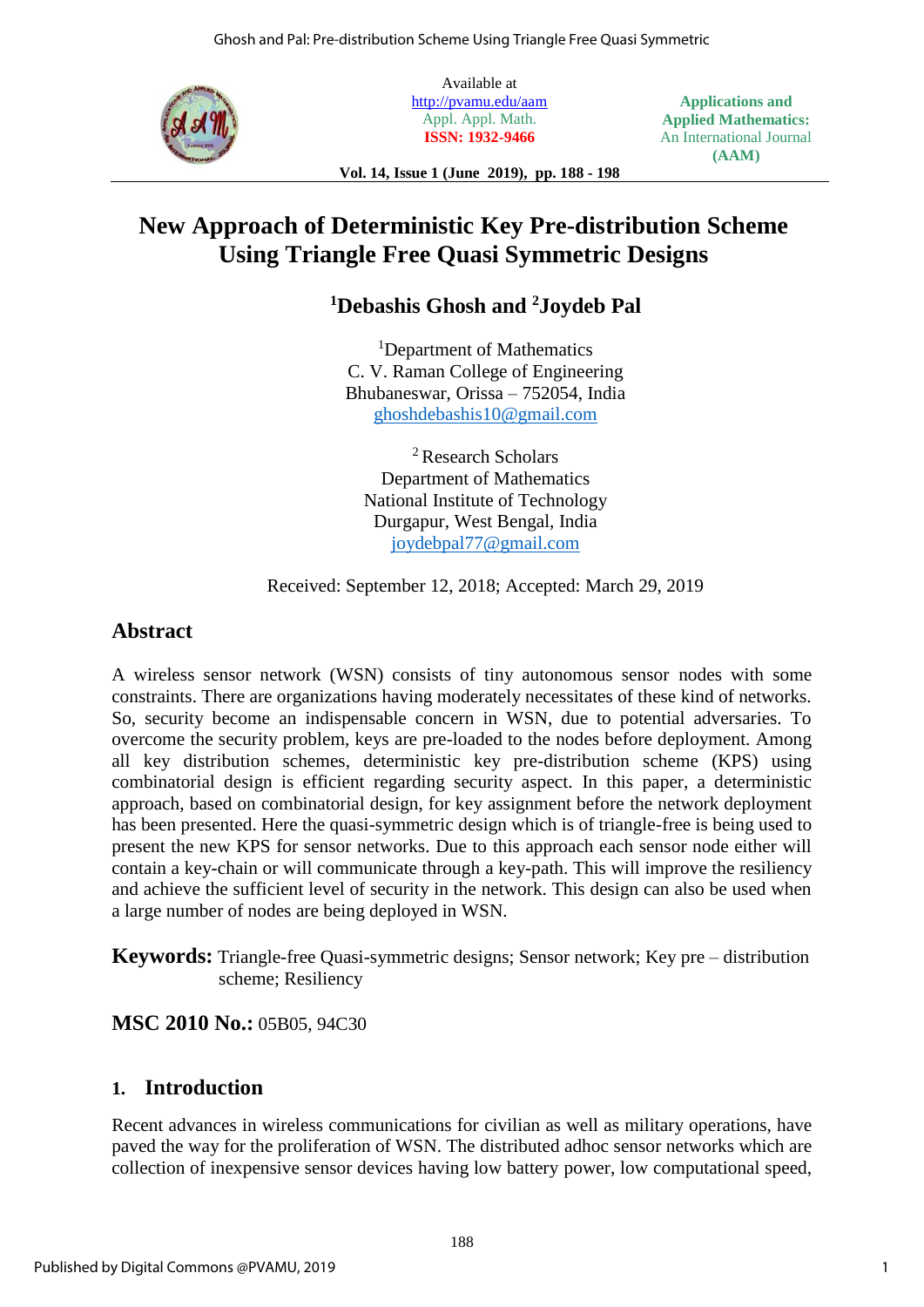

Available at <http://pvamu.edu/aam> Appl. Appl. Math. **ISSN: 1932-9466**

**Applications and Applied Mathematics:** An International Journal **(AAM)**

**Vol. 14, Issue 1 (June 2019), pp. 188 - 198**

## **New Approach of Deterministic Key Pre-distribution Scheme Using Triangle Free Quasi Symmetric Designs**

## **<sup>1</sup>Debashis Ghosh and <sup>2</sup>Joydeb Pal**

<sup>1</sup>Department of Mathematics C. V. Raman College of Engineering Bhubaneswar, Orissa – 752054, India [ghoshdebashis10@gmail.com](file:///C:/Users/BIET%20Maths/Downloads/ghoshdebashis10@gmail.com) 

<sup>2</sup> Research Scholars Department of Mathematics National Institute of Technology Durgapur, West Bengal, India [joydebpal77@gmail.com](mailto:joydebpal77@gmail.com)

Received: September 12, 2018; Accepted: March 29, 2019

## **Abstract**

A wireless sensor network (WSN) consists of tiny autonomous sensor nodes with some constraints. There are organizations having moderately necessitates of these kind of networks. So, security become an indispensable concern in WSN, due to potential adversaries. To overcome the security problem, keys are pre-loaded to the nodes before deployment. Among all key distribution schemes, deterministic key pre-distribution scheme (KPS) using combinatorial design is efficient regarding security aspect. In this paper, a deterministic approach, based on combinatorial design, for key assignment before the network deployment has been presented. Here the quasi-symmetric design which is of triangle-free is being used to present the new KPS for sensor networks. Due to this approach each sensor node either will contain a key-chain or will communicate through a key-path. This will improve the resiliency and achieve the sufficient level of security in the network. This design can also be used when a large number of nodes are being deployed in WSN.

**Keywords:** Triangle-free Quasi-symmetric designs; Sensor network; Key pre – distribution scheme; Resiliency

## **MSC 2010 No.:** 05B05, 94C30

## **1. Introduction**

Recent advances in wireless communications for civilian as well as military operations, have paved the way for the proliferation of WSN. The distributed adhoc sensor networks which are collection of inexpensive sensor devices having low battery power, low computational speed,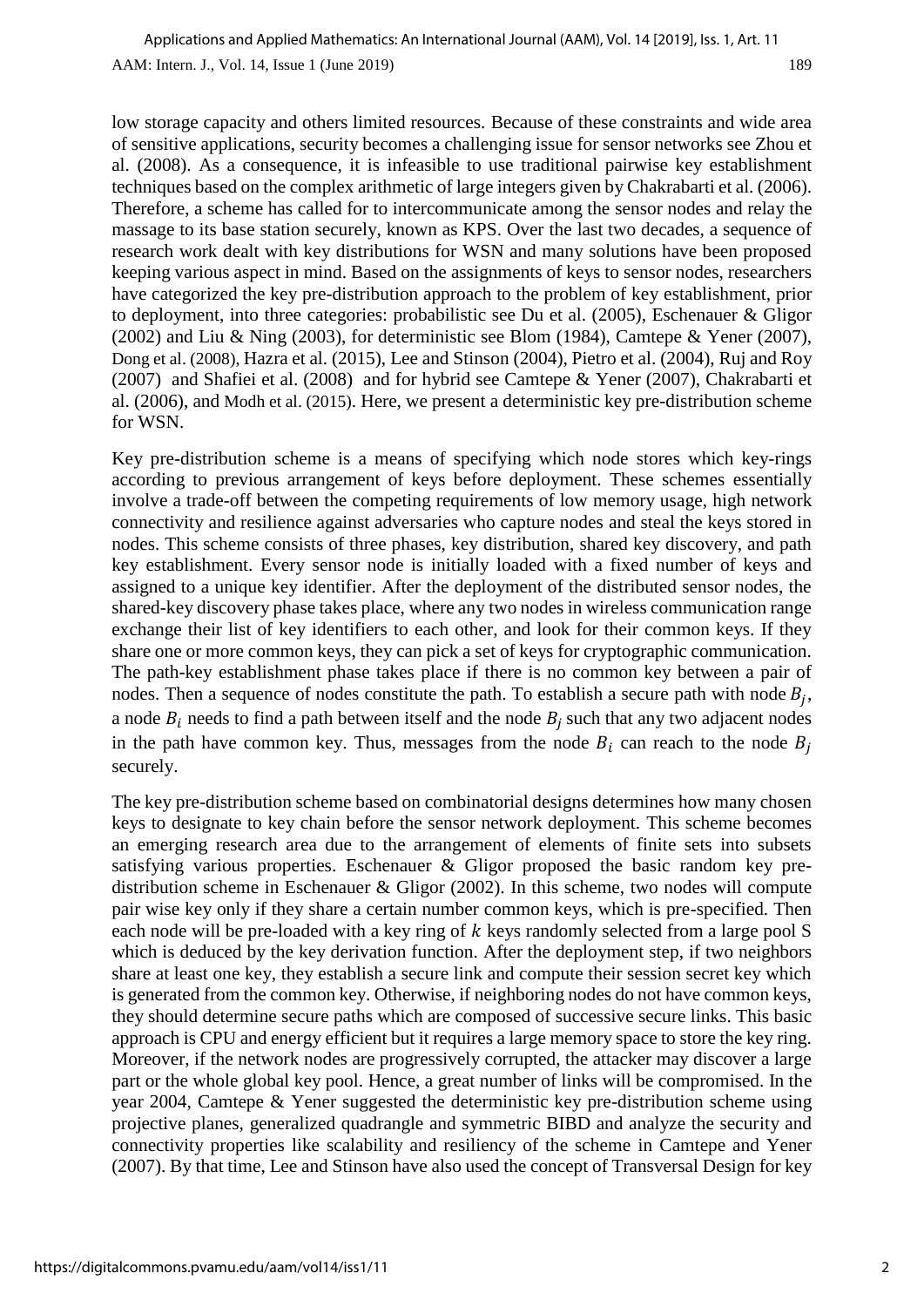AAM: Intern. J., Vol. 14, Issue 1 (June 2019) 189 Applications and Applied Mathematics: An International Journal (AAM), Vol. 14 [2019], Iss. 1, Art. 11

low storage capacity and others limited resources. Because of these constraints and wide area of sensitive applications, security becomes a challenging issue for sensor networks see Zhou et al. (2008). As a consequence, it is infeasible to use traditional pairwise key establishment techniques based on the complex arithmetic of large integers given by Chakrabarti et al. (2006). Therefore, a scheme has called for to intercommunicate among the sensor nodes and relay the massage to its base station securely, known as KPS. Over the last two decades, a sequence of research work dealt with key distributions for WSN and many solutions have been proposed keeping various aspect in mind. Based on the assignments of keys to sensor nodes, researchers have categorized the key pre-distribution approach to the problem of key establishment, prior to deployment, into three categories: probabilistic see Du et al. (2005), Eschenauer & Gligor (2002) and Liu & Ning (2003), for deterministic see Blom (1984), Camtepe & Yener (2007), Dong et al. (2008), Hazra et al. (2015), Lee and Stinson (2004), Pietro et al. (2004), Ruj and Roy (2007) and Shafiei et al. (2008) and for hybrid see Camtepe & Yener (2007), Chakrabarti et al. (2006), and Modh et al. (2015). Here, we present a deterministic key pre-distribution scheme for WSN.

Key pre-distribution scheme is a means of specifying which node stores which key-rings according to previous arrangement of keys before deployment. These schemes essentially involve a trade-off between the competing requirements of low memory usage, high network connectivity and resilience against adversaries who capture nodes and steal the keys stored in nodes. This scheme consists of three phases, key distribution, shared key discovery, and path key establishment. Every sensor node is initially loaded with a fixed number of keys and assigned to a unique key identifier. After the deployment of the distributed sensor nodes, the shared-key discovery phase takes place, where any two nodes in wireless communication range exchange their list of key identifiers to each other, and look for their common keys. If they share one or more common keys, they can pick a set of keys for cryptographic communication. The path-key establishment phase takes place if there is no common key between a pair of nodes. Then a sequence of nodes constitute the path. To establish a secure path with node  $B_j$ , a node  $B_i$  needs to find a path between itself and the node  $B_j$  such that any two adjacent nodes in the path have common key. Thus, messages from the node  $B_i$  can reach to the node  $B_i$ securely.

The key pre-distribution scheme based on combinatorial designs determines how many chosen keys to designate to key chain before the sensor network deployment. This scheme becomes an emerging research area due to the arrangement of elements of finite sets into subsets satisfying various properties. Eschenauer & Gligor proposed the basic random key predistribution scheme in Eschenauer & Gligor (2002). In this scheme, two nodes will compute pair wise key only if they share a certain number common keys, which is pre-specified. Then each node will be pre-loaded with a key ring of  $k$  keys randomly selected from a large pool S which is deduced by the key derivation function. After the deployment step, if two neighbors share at least one key, they establish a secure link and compute their session secret key which is generated from the common key. Otherwise, if neighboring nodes do not have common keys, they should determine secure paths which are composed of successive secure links. This basic approach is CPU and energy efficient but it requires a large memory space to store the key ring. Moreover, if the network nodes are progressively corrupted, the attacker may discover a large part or the whole global key pool. Hence, a great number of links will be compromised. In the year 2004, Camtepe & Yener suggested the deterministic key pre-distribution scheme using projective planes, generalized quadrangle and symmetric BIBD and analyze the security and connectivity properties like scalability and resiliency of the scheme in Camtepe and Yener (2007). By that time, Lee and Stinson have also used the concept of Transversal Design for key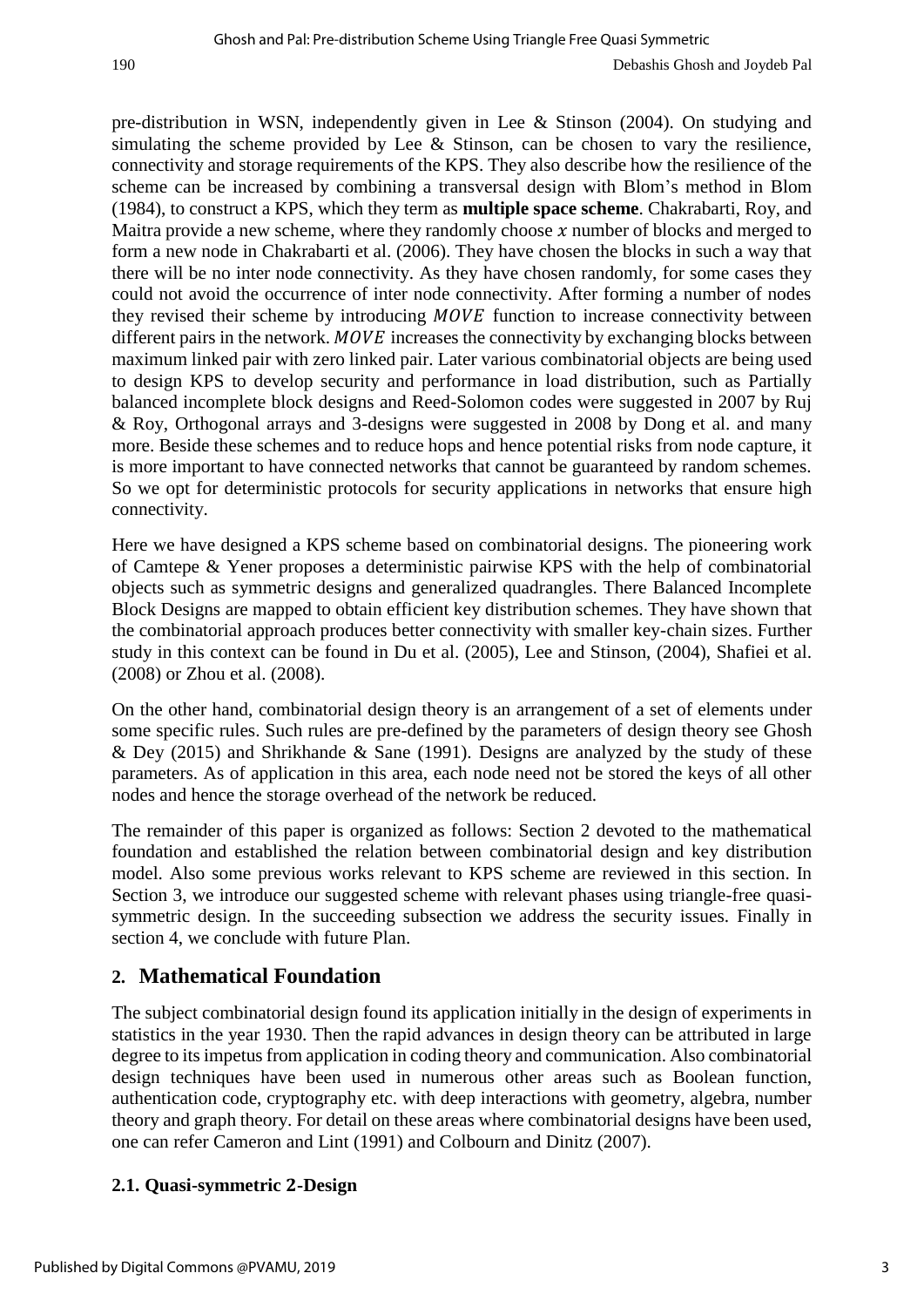pre-distribution in WSN, independently given in Lee & Stinson (2004). On studying and simulating the scheme provided by Lee & Stinson, can be chosen to vary the resilience, connectivity and storage requirements of the KPS. They also describe how the resilience of the scheme can be increased by combining a transversal design with Blom's method in Blom (1984), to construct a KPS, which they term as **multiple space scheme**. Chakrabarti, Roy, and Maitra provide a new scheme, where they randomly choose  $x$  number of blocks and merged to form a new node in Chakrabarti et al. (2006). They have chosen the blocks in such a way that there will be no inter node connectivity. As they have chosen randomly, for some cases they could not avoid the occurrence of inter node connectivity. After forming a number of nodes they revised their scheme by introducing MOVE function to increase connectivity between different pairs in the network.  $MOVE$  increases the connectivity by exchanging blocks between maximum linked pair with zero linked pair. Later various combinatorial objects are being used to design KPS to develop security and performance in load distribution, such as Partially balanced incomplete block designs and Reed-Solomon codes were suggested in 2007 by Ruj & Roy, Orthogonal arrays and 3-designs were suggested in 2008 by Dong et al. and many more. Beside these schemes and to reduce hops and hence potential risks from node capture, it is more important to have connected networks that cannot be guaranteed by random schemes. So we opt for deterministic protocols for security applications in networks that ensure high connectivity.

Here we have designed a KPS scheme based on combinatorial designs. The pioneering work of Camtepe & Yener proposes a deterministic pairwise KPS with the help of combinatorial objects such as symmetric designs and generalized quadrangles. There Balanced Incomplete Block Designs are mapped to obtain efficient key distribution schemes. They have shown that the combinatorial approach produces better connectivity with smaller key-chain sizes. Further study in this context can be found in Du et al. (2005), Lee and Stinson, (2004), Shafiei et al. (2008) or Zhou et al. (2008).

On the other hand, combinatorial design theory is an arrangement of a set of elements under some specific rules. Such rules are pre-defined by the parameters of design theory see Ghosh  $&$  Dey (2015) and Shrikhande  $&$  Sane (1991). Designs are analyzed by the study of these parameters. As of application in this area, each node need not be stored the keys of all other nodes and hence the storage overhead of the network be reduced.

The remainder of this paper is organized as follows: Section 2 devoted to the mathematical foundation and established the relation between combinatorial design and key distribution model. Also some previous works relevant to KPS scheme are reviewed in this section. In Section 3, we introduce our suggested scheme with relevant phases using triangle-free quasisymmetric design. In the succeeding subsection we address the security issues. Finally in section 4, we conclude with future Plan.

## **2. Mathematical Foundation**

The subject combinatorial design found its application initially in the design of experiments in statistics in the year 1930. Then the rapid advances in design theory can be attributed in large degree to its impetus from application in coding theory and communication. Also combinatorial design techniques have been used in numerous other areas such as Boolean function, authentication code, cryptography etc. with deep interactions with geometry, algebra, number theory and graph theory. For detail on these areas where combinatorial designs have been used, one can refer Cameron and Lint (1991) and Colbourn and Dinitz (2007).

## **2.1. Quasi-symmetric -Design**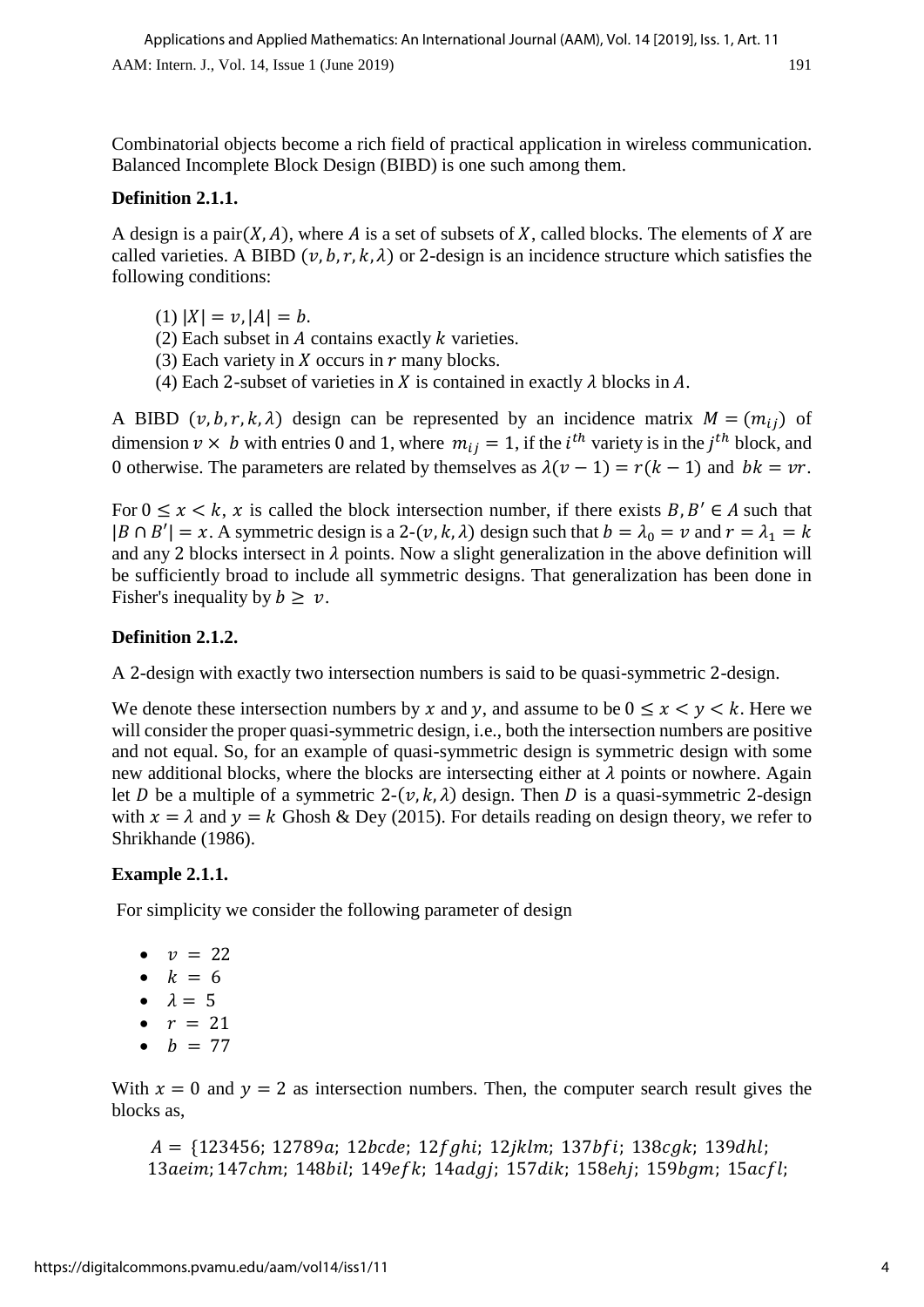Combinatorial objects become a rich field of practical application in wireless communication. Balanced Incomplete Block Design (BIBD) is one such among them.

## **Definition 2.1.1.**

A design is a pair $(X, A)$ , where A is a set of subsets of X, called blocks. The elements of X are called varieties. A BIBD  $(v, b, r, k, \lambda)$  or 2-design is an incidence structure which satisfies the following conditions:

(1)  $|X| = v$ ,  $|A| = b$ .

- (2) Each subset in  $A$  contains exactly  $k$  varieties.
- (3) Each variety in  $X$  occurs in  $r$  many blocks.
- (4) Each 2-subset of varieties in  $X$  is contained in exactly  $\lambda$  blocks in  $A$ .

A BIBD  $(v, b, r, k, \lambda)$  design can be represented by an incidence matrix  $M = (m_{ij})$  of dimension  $v \times b$  with entries 0 and 1, where  $m_{ij} = 1$ , if the *i*<sup>th</sup> variety is in the *j*<sup>th</sup> block, and 0 otherwise. The parameters are related by themselves as  $\lambda(\nu - 1) = r(k - 1)$  and  $bk = \nu r$ .

For  $0 \le x \le k$ , x is called the block intersection number, if there exists  $B, B' \in A$  such that  $|B \cap B'| = x$ . A symmetric design is a 2-(v, k,  $\lambda$ ) design such that  $b = \lambda_0 = v$  and  $r = \lambda_1 = k$ and any 2 blocks intersect in  $\lambda$  points. Now a slight generalization in the above definition will be sufficiently broad to include all symmetric designs. That generalization has been done in Fisher's inequality by  $b \geq v$ .

## **Definition 2.1.2.**

A 2-design with exactly two intersection numbers is said to be quasi-symmetric 2-design.

We denote these intersection numbers by x and y, and assume to be  $0 \le x \le y \le k$ . Here we will consider the proper quasi-symmetric design, *i.e.*, both the intersection numbers are positive and not equal. So, for an example of quasi-symmetric design is symmetric design with some new additional blocks, where the blocks are intersecting either at  $\lambda$  points or nowhere. Again let D be a multiple of a symmetric 2- $(v, k, \lambda)$  design. Then D is a quasi-symmetric 2-design with  $x = \lambda$  and  $y = k$  Ghosh & Dey (2015). For details reading on design theory, we refer to Shrikhande (1986).

## **Example 2.1.1.**

For simplicity we consider the following parameter of design

- $\bullet$   $v = 22$
- $k = 6$
- $\lambda = 5$
- $r = 21$
- $b = 77$

With  $x = 0$  and  $y = 2$  as intersection numbers. Then, the computer search result gives the blocks as,

 $A = \{123456; 12789a; 12bcde; 12fghi; 12jklm; 137bfi; 138cgk; 139dhl;$ 13aeim; 147chm; 148bil; 149efk; 14adgj; 157dik; 158ehj; 159bgm; 15acfl;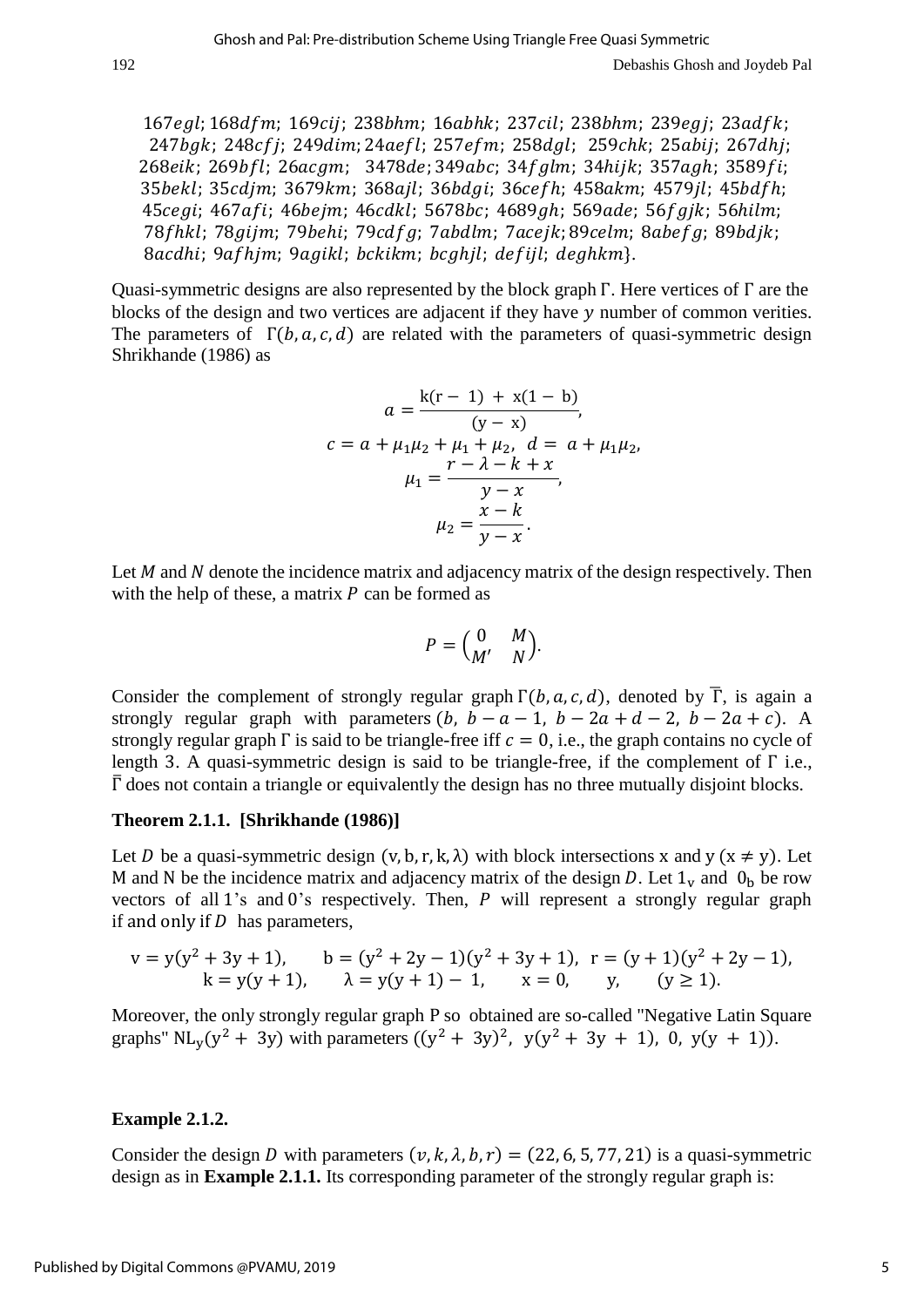167egl; 168dfm; 169cij; 238bhm; 16abhk; 237cil; 238bhm; 239egj; 23adfk; 247bgk; 248cfj; 249dim; 24aefl; 257efm; 258dgl; 259chk; 25abij; 267dhj; 268eik; 269bfl; 26acgm; 3478de; 349abc; 34fglm; 34hijk; 357agh; 3589fi; 35bekl; 35cdjm; 3679km; 368ajl; 36bdgi; 36cefh; 458akm; 4579jl; 45bdfh; 45cegi; 467afi; 46bejm; 46cdkl; 5678bc; 4689gh; 569ade; 56fgjk; 56hilm; 78fhkl; 78gijm; 79behi; 79cdfg; 7abdlm; 7acejk; 89celm; 8abefg; 89bdjk; 8acdhi; 9afhjm; 9agikl; bckikm; bcghjl; defijl; deghkm}.

Quasi-symmetric designs are also represented by the block graph Γ. Here vertices of Γ are the blocks of the design and two vertices are adjacent if they have  $\nu$  number of common verities. The parameters of  $\Gamma(b, a, c, d)$  are related with the parameters of quasi-symmetric design Shrikhande (1986) as

$$
a = \frac{k(r - 1) + x(1 - b)}{(y - x)},
$$
  
\n
$$
c = a + \mu_1 \mu_2 + \mu_1 + \mu_2, d = a + \mu_1 \mu_2,
$$
  
\n
$$
\mu_1 = \frac{r - \lambda - k + x}{y - x},
$$
  
\n
$$
\mu_2 = \frac{x - k}{y - x}.
$$

Let  $M$  and  $N$  denote the incidence matrix and adjacency matrix of the design respectively. Then with the help of these, a matrix  $P$  can be formed as

$$
P = \begin{pmatrix} 0 & M \\ M' & N \end{pmatrix}.
$$

Consider the complement of strongly regular graph  $\Gamma(b, a, c, d)$ , denoted by  $\overline{\Gamma}$ , is again a strongly regular graph with parameters  $(b, b - a - 1, b - 2a + d - 2, b - 2a + c)$ . A strongly regular graph  $\Gamma$  is said to be triangle-free iff  $c = 0$ , i.e., the graph contains no cycle of length 3. A quasi-symmetric design is said to be triangle-free, if the complement of Γ i.e.,  $\overline{\Gamma}$  does not contain a triangle or equivalently the design has no three mutually disjoint blocks.

#### **Theorem 2.1.1. [Shrikhande (1986)]**

Let *D* be a quasi-symmetric design  $(v, b, r, k, \lambda)$  with block intersections x and y  $(x \neq y)$ . Let M and N be the incidence matrix and adjacency matrix of the design *D*. Let  $1_v$  and  $0_h$  be row vectors of all 1's and 0's respectively. Then,  $P$  will represent a strongly regular graph if and only if  $D$  has parameters,

$$
v = y(y^2 + 3y + 1), \qquad b = (y^2 + 2y - 1)(y^2 + 3y + 1), \quad r = (y + 1)(y^2 + 2y - 1),
$$
  
\n
$$
k = y(y + 1), \qquad \lambda = y(y + 1) - 1, \qquad x = 0, \qquad y, \qquad (y \ge 1).
$$

Moreover, the only strongly regular graph P so obtained are so-called "Negative Latin Square graphs" NL<sub>y</sub>(y<sup>2</sup> + 3y) with parameters ((y<sup>2</sup> + 3y)<sup>2</sup>, y(y<sup>2</sup> + 3y + 1), 0, y(y + 1)).

#### **Example 2.1.2.**

Consider the design D with parameters  $(v, k, \lambda, b, r) = (22, 6, 5, 77, 21)$  is a quasi-symmetric design as in **Example 2.1.1.** Its corresponding parameter of the strongly regular graph is: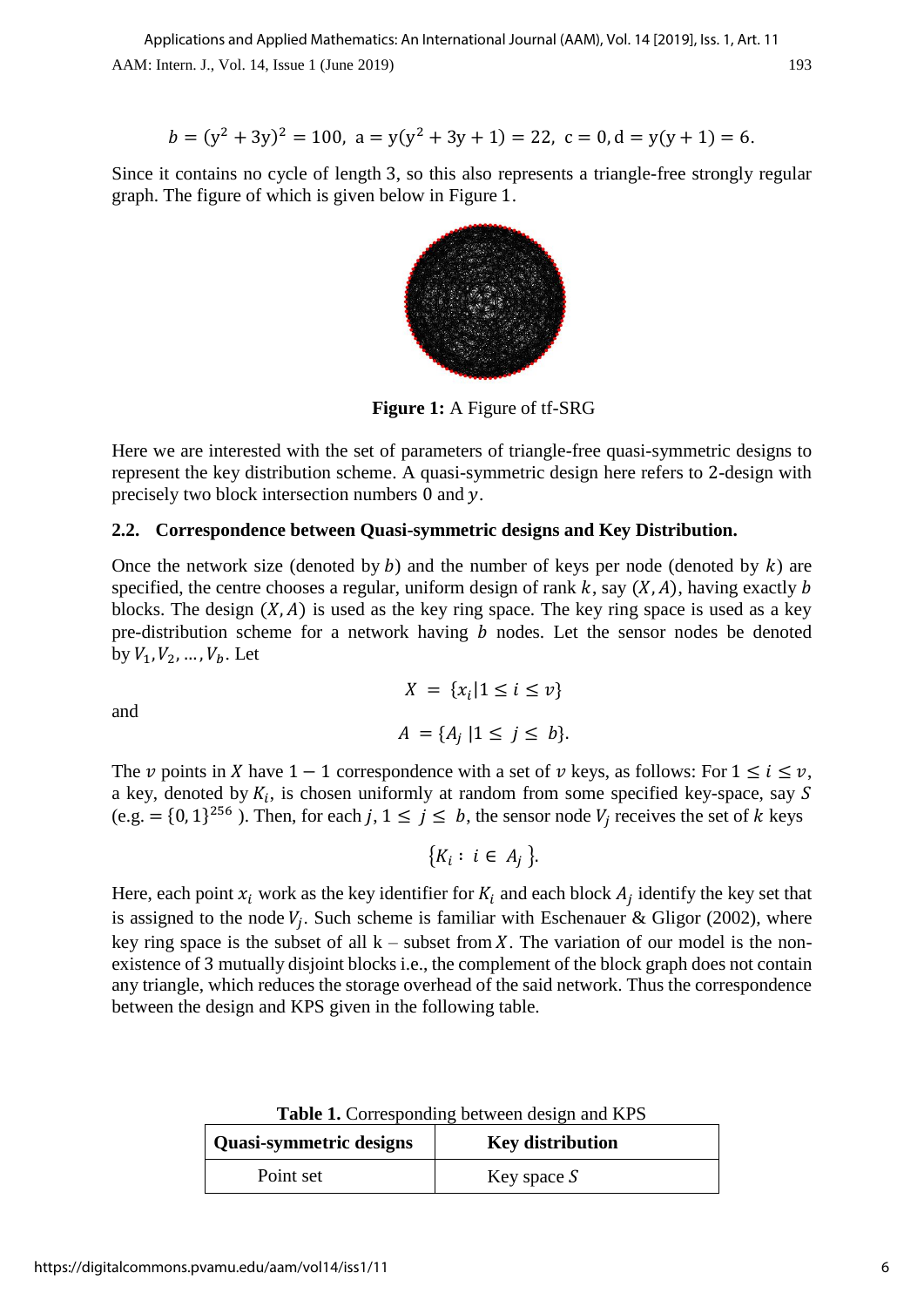$$
b = (y^2 + 3y)^2 = 100, \ a = y(y^2 + 3y + 1) = 22, \ c = 0, d = y(y + 1) = 6.
$$

Since it contains no cycle of length 3, so this also represents a triangle-free strongly regular graph. The figure of which is given below in Figure 1.



**Figure 1:** A Figure of tf-SRG

Here we are interested with the set of parameters of triangle-free quasi-symmetric designs to represent the key distribution scheme. A quasi-symmetric design here refers to 2-design with precisely two block intersection numbers 0 and y.

#### **2.2. Correspondence between Quasi-symmetric designs and Key Distribution.**

Once the network size (denoted by  $b$ ) and the number of keys per node (denoted by  $k$ ) are specified, the centre chooses a regular, uniform design of rank  $k$ , say  $(X, A)$ , having exactly b blocks. The design  $(X, A)$  is used as the key ring space. The key ring space is used as a key pre-distribution scheme for a network having  $b$  nodes. Let the sensor nodes be denoted by  $V_1, V_2, ..., V_h$ . Let

and

$$
X = \{x_i | 1 \le i \le v\}
$$
  

$$
A = \{A_j | 1 \le j \le b\}.
$$

The v points in X have  $1 - 1$  correspondence with a set of v keys, as follows: For  $1 \le i \le v$ , a key, denoted by  $K_i$ , is chosen uniformly at random from some specified key-space, say S (e.g. =  $\{0, 1\}^{256}$ ). Then, for each j,  $1 \le j \le b$ , the sensor node  $V_j$  receives the set of k keys

$$
\{K_i: i \in A_j\}.
$$

Here, each point  $x_i$  work as the key identifier for  $K_i$  and each block  $A_j$  identify the key set that is assigned to the node  $V_j$ . Such scheme is familiar with Eschenauer & Gligor (2002), where key ring space is the subset of all  $k$  – subset from X. The variation of our model is the nonexistence of 3 mutually disjoint blocks i.e., the complement of the block graph does not contain any triangle, which reduces the storage overhead of the said network. Thus the correspondence between the design and KPS given in the following table.

| <b>Quasi-symmetric designs</b> | <b>Key distribution</b> |  |  |
|--------------------------------|-------------------------|--|--|
| Point set                      | Key space $S$           |  |  |

**Table 1.** Corresponding between design and KPS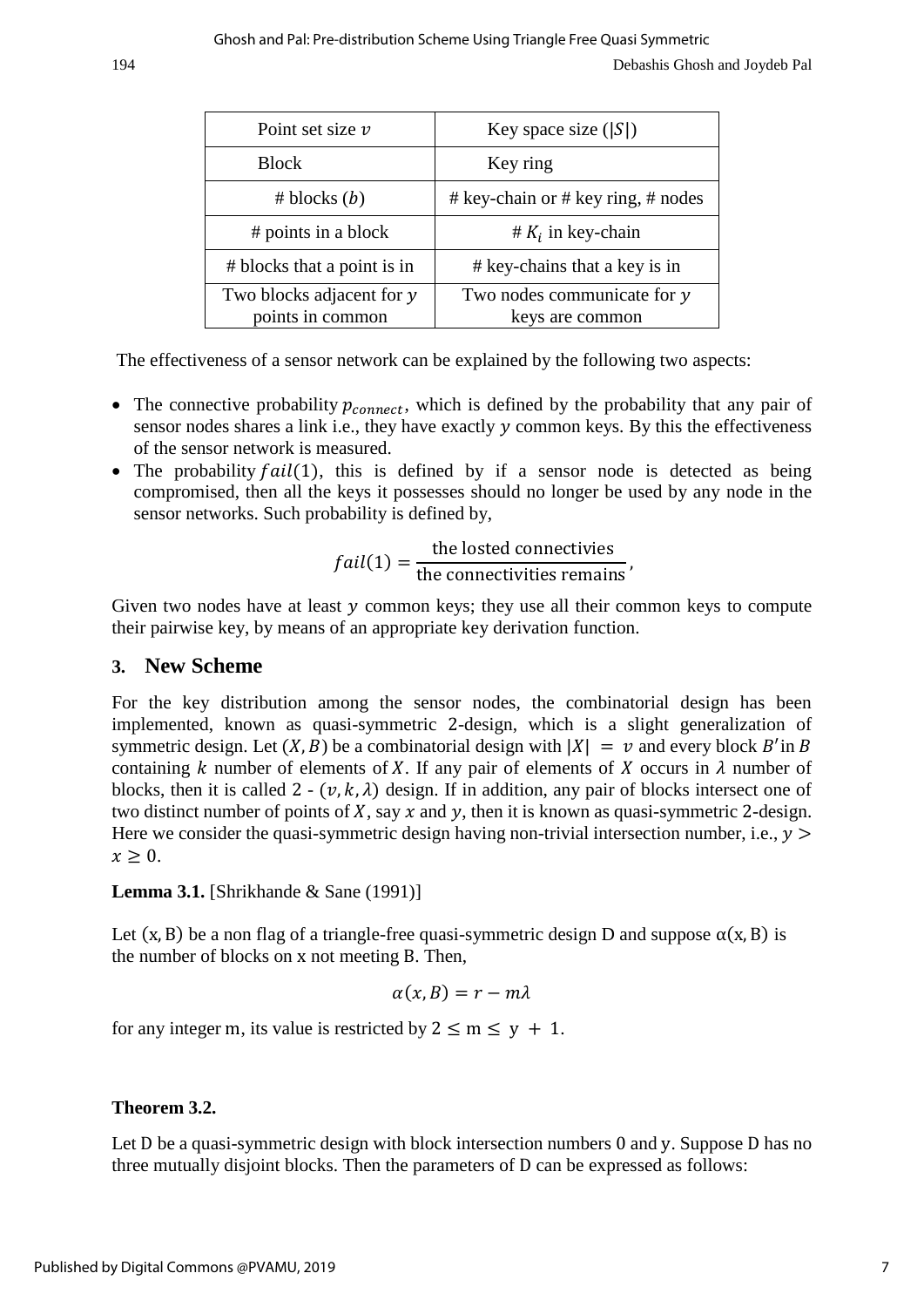| Point set size $\nu$                          | Key space size $( S )$                           |  |  |
|-----------------------------------------------|--------------------------------------------------|--|--|
| <b>Block</b>                                  | Key ring                                         |  |  |
| # blocks (b)                                  | # key-chain or # key ring, # nodes               |  |  |
| # points in a block                           | # $K_i$ in key-chain                             |  |  |
| # blocks that a point is in                   | # key-chains that a key is in                    |  |  |
| Two blocks adjacent for y<br>points in common | Two nodes communicate for $y$<br>keys are common |  |  |

The effectiveness of a sensor network can be explained by the following two aspects:

- The connective probability  $p_{connect}$ , which is defined by the probability that any pair of sensor nodes shares a link i.e., they have exactly y common keys. By this the effectiveness of the sensor network is measured.
- The probability  $fail(1)$ , this is defined by if a sensor node is detected as being compromised, then all the keys it possesses should no longer be used by any node in the sensor networks. Such probability is defined by,

$$
fail(1) = \frac{\text{the losted connectivies}}{\text{the connectivities remains}},
$$

Given two nodes have at least  $y$  common keys; they use all their common keys to compute their pairwise key, by means of an appropriate key derivation function.

## **3. New Scheme**

For the key distribution among the sensor nodes, the combinatorial design has been implemented, known as quasi-symmetric 2-design, which is a slight generalization of symmetric design. Let  $(X, B)$  be a combinatorial design with  $|X| = v$  and every block B'in B containing k number of elements of X. If any pair of elements of X occurs in  $\lambda$  number of blocks, then it is called 2 -  $(v, k, \lambda)$  design. If in addition, any pair of blocks intersect one of two distinct number of points of  $X$ , say  $x$  and  $y$ , then it is known as quasi-symmetric 2-design. Here we consider the quasi-symmetric design having non-trivial intersection number, i.e.,  $y >$  $x > 0$ .

**Lemma 3.1.** [Shrikhande & Sane (1991)]

Let  $(x, B)$  be a non flag of a triangle-free quasi-symmetric design D and suppose  $\alpha(x, B)$  is the number of blocks on x not meeting B. Then,

$$
\alpha(x,B)=r-m\lambda
$$

for any integer m, its value is restricted by  $2 \le m \le y + 1$ .

#### **Theorem 3.2.**

Let D be a quasi-symmetric design with block intersection numbers 0 and y. Suppose D has no three mutually disjoint blocks. Then the parameters of D can be expressed as follows: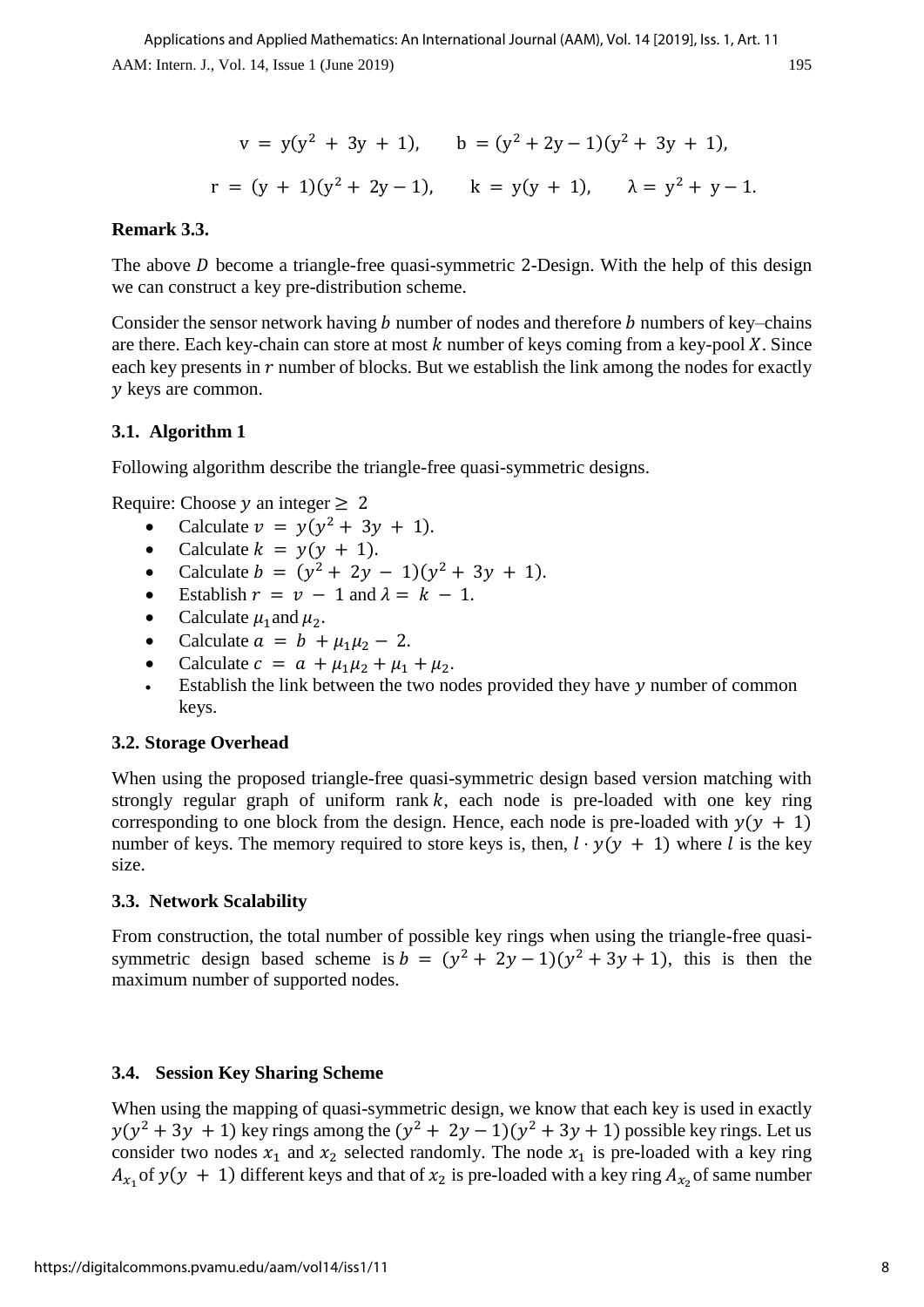$$
v = y(y2 + 3y + 1), \t b = (y2 + 2y - 1)(y2 + 3y + 1),
$$
  
r = (y + 1)(y<sup>2</sup> + 2y - 1), \t k = y(y + 1), \t  $\lambda$  = y<sup>2</sup> + y - 1.

### **Remark 3.3.**

The above  $D$  become a triangle-free quasi-symmetric 2-Design. With the help of this design we can construct a key pre-distribution scheme.

Consider the sensor network having  $b$  number of nodes and therefore  $b$  numbers of key–chains are there. Each key-chain can store at most  $k$  number of keys coming from a key-pool  $X$ . Since each key presents in  *number of blocks. But we establish the link among the nodes for exactly* y keys are common.

#### **3.1. Algorithm 1**

Following algorithm describe the triangle-free quasi-symmetric designs.

Require: Choose  $y$  an integer  $\geq 2$ 

- Calculate  $v = y(y^2 + 3y + 1)$ .
- Calculate  $k = y(y + 1)$ .
- Calculate  $b = (y^2 + 2y 1)(y^2 + 3y + 1)$ .
- Establish  $r = v 1$  and  $\lambda = k 1$ .
- Calculate  $\mu_1$  and  $\mu_2$ .
- Calculate  $a = b + \mu_1 \mu_2 2$ .
- Calculate  $c = a + \mu_1 \mu_2 + \mu_1 + \mu_2$ .
- Establish the link between the two nodes provided they have  $y$  number of common keys.

#### **3.2. Storage Overhead**

When using the proposed triangle-free quasi-symmetric design based version matching with strongly regular graph of uniform rank  $k$ , each node is pre-loaded with one key ring corresponding to one block from the design. Hence, each node is pre-loaded with  $y(y + 1)$ number of keys. The memory required to store keys is, then,  $l \cdot y(y + 1)$  where l is the key size.

#### **3.3. Network Scalability**

From construction, the total number of possible key rings when using the triangle-free quasisymmetric design based scheme is  $b = (y^2 + 2y - 1)(y^2 + 3y + 1)$ , this is then the maximum number of supported nodes.

#### **3.4. Session Key Sharing Scheme**

When using the mapping of quasi-symmetric design, we know that each key is used in exactly  $y(y^2 + 3y + 1)$  key rings among the  $(y^2 + 2y - 1)(y^2 + 3y + 1)$  possible key rings. Let us consider two nodes  $x_1$  and  $x_2$  selected randomly. The node  $x_1$  is pre-loaded with a key ring  $A_{x_1}$  of  $y(y + 1)$  different keys and that of  $x_2$  is pre-loaded with a key ring  $A_{x_2}$  of same number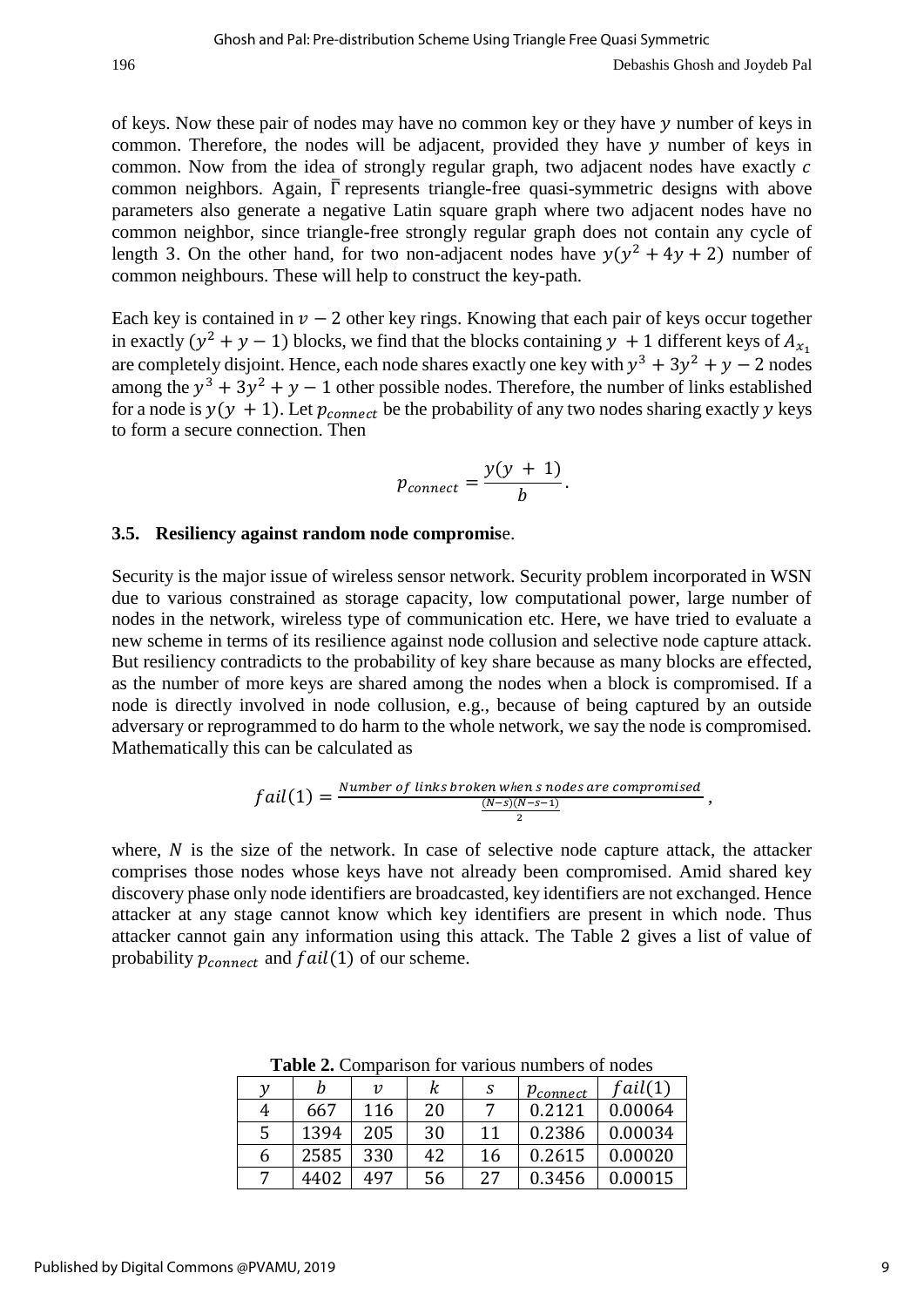of keys. Now these pair of nodes may have no common key or they have  $y$  number of keys in common. Therefore, the nodes will be adjacent, provided they have  $\nu$  number of keys in common. Now from the idea of strongly regular graph, two adjacent nodes have exactly  $c$ common neighbors. Again,  $\overline{\Gamma}$  represents triangle-free quasi-symmetric designs with above parameters also generate a negative Latin square graph where two adjacent nodes have no common neighbor, since triangle-free strongly regular graph does not contain any cycle of length 3. On the other hand, for two non-adjacent nodes have  $y(y^2 + 4y + 2)$  number of common neighbours. These will help to construct the key-path.

Each key is contained in  $\nu - 2$  other key rings. Knowing that each pair of keys occur together in exactly ( $y^2 + y - 1$ ) blocks, we find that the blocks containing  $y + 1$  different keys of  $A_{x_1}$ are completely disjoint. Hence, each node shares exactly one key with  $y^3 + 3y^2 + y - 2$  nodes among the  $y^3 + 3y^2 + y - 1$  other possible nodes. Therefore, the number of links established for a node is  $y(y + 1)$ . Let  $p_{connect}$  be the probability of any two nodes sharing exactly y keys to form a secure connection. Then

$$
p_{connect} = \frac{y(y + 1)}{b}.
$$

#### **3.5. Resiliency against random node compromis**e.

Security is the major issue of wireless sensor network. Security problem incorporated in WSN due to various constrained as storage capacity, low computational power, large number of nodes in the network, wireless type of communication etc. Here, we have tried to evaluate a new scheme in terms of its resilience against node collusion and selective node capture attack. But resiliency contradicts to the probability of key share because as many blocks are effected, as the number of more keys are shared among the nodes when a block is compromised. If a node is directly involved in node collusion, e.g., because of being captured by an outside adversary or reprogrammed to do harm to the whole network, we say the node is compromised. Mathematically this can be calculated as

$$
fail(1) = \frac{Number\ of\ links\ broken\ when\ s\ nodes\ are\ compromised}{\frac{(N-s)(N-s-1)}{2}},
$$

where,  $N$  is the size of the network. In case of selective node capture attack, the attacker comprises those nodes whose keys have not already been compromised. Amid shared key discovery phase only node identifiers are broadcasted, key identifiers are not exchanged. Hence attacker at any stage cannot know which key identifiers are present in which node. Thus attacker cannot gain any information using this attack. The Table 2 gives a list of value of probability  $p_{connect}$  and  $fail(1)$  of our scheme.

|   | Ŋ    | $\boldsymbol{\mathit{v}}$ |    | S  | $p_{connect}$ | fail(1) |
|---|------|---------------------------|----|----|---------------|---------|
| 4 | 667  | 116                       | 20 |    | 0.2121        | 0.00064 |
|   | 1394 | 205                       | 30 | 11 | 0.2386        | 0.00034 |
| b | 2585 | 330                       | 42 | 16 | 0.2615        | 0.00020 |
|   | 4402 | 497                       | 56 | 27 | 0.3456        | 0.00015 |

**Table 2.** Comparison for various numbers of nodes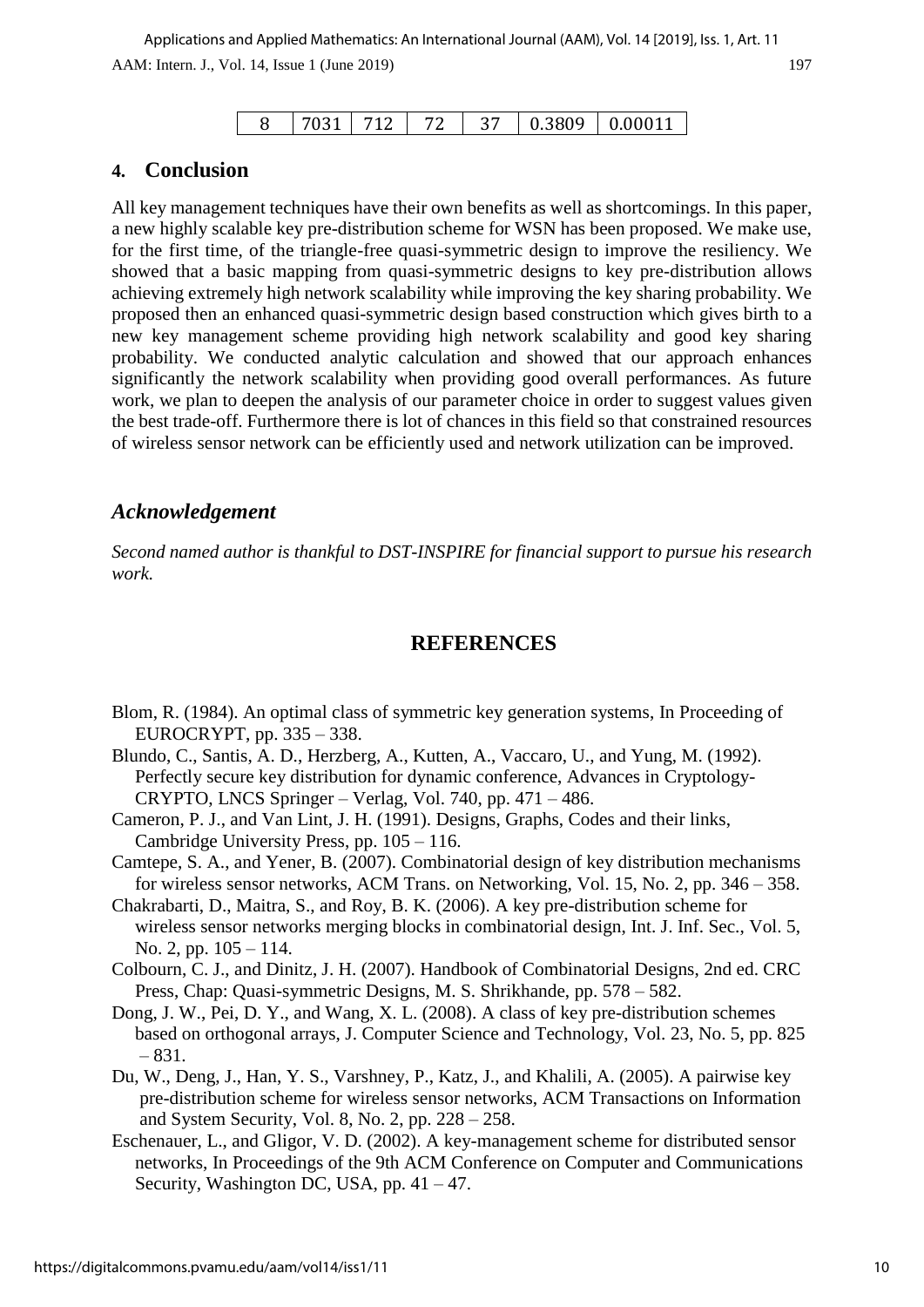|  |  |  |  |  | 0.3809 | 0.00011 |
|--|--|--|--|--|--------|---------|
|--|--|--|--|--|--------|---------|

## **4. Conclusion**

All key management techniques have their own benefits as well as shortcomings. In this paper, a new highly scalable key pre-distribution scheme for WSN has been proposed. We make use, for the first time, of the triangle-free quasi-symmetric design to improve the resiliency. We showed that a basic mapping from quasi-symmetric designs to key pre-distribution allows achieving extremely high network scalability while improving the key sharing probability. We proposed then an enhanced quasi-symmetric design based construction which gives birth to a new key management scheme providing high network scalability and good key sharing probability. We conducted analytic calculation and showed that our approach enhances significantly the network scalability when providing good overall performances. As future work, we plan to deepen the analysis of our parameter choice in order to suggest values given the best trade-off. Furthermore there is lot of chances in this field so that constrained resources of wireless sensor network can be efficiently used and network utilization can be improved.

## *Acknowledgement*

*Second named author is thankful to DST-INSPIRE for financial support to pursue his research work.*

### **REFERENCES**

- Blom, R. (1984). An optimal class of symmetric key generation systems, In Proceeding of EUROCRYPT, pp. 335 – 338.
- Blundo, C., Santis, A. D., Herzberg, A., Kutten, A., Vaccaro, U., and Yung, M. (1992). Perfectly secure key distribution for dynamic conference, Advances in Cryptology- CRYPTO, LNCS Springer – Verlag, Vol. 740, pp. 471 – 486.
- Cameron, P. J., and Van Lint, J. H. (1991). Designs, Graphs, Codes and their links, Cambridge University Press, pp. 105 – 116.
- Camtepe, S. A., and Yener, B. (2007). Combinatorial design of key distribution mechanisms for wireless sensor networks, ACM Trans. on Networking, Vol. 15, No. 2, pp. 346 – 358.
- Chakrabarti, D., Maitra, S., and Roy, B. K. (2006). A key pre-distribution scheme for wireless sensor networks merging blocks in combinatorial design, Int. J. Inf. Sec., Vol. 5, No. 2, pp. 105 – 114.
- Colbourn, C. J., and Dinitz, J. H. (2007). Handbook of Combinatorial Designs, 2nd ed. CRC Press, Chap: Quasi-symmetric Designs, M. S. Shrikhande, pp. 578 – 582.
- Dong, J. W., Pei, D. Y., and Wang, X. L. (2008). A class of key pre-distribution schemes based on orthogonal arrays, J. Computer Science and Technology, Vol. 23, No. 5, pp. 825 – 831.
- Du, W., Deng, J., Han, Y. S., Varshney, P., Katz, J., and Khalili, A. (2005). A pairwise key pre-distribution scheme for wireless sensor networks, ACM Transactions on Information and System Security, Vol. 8, No. 2, pp. 228 – 258.
- Eschenauer, L., and Gligor, V. D. (2002). A key-management scheme for distributed sensor networks, In Proceedings of the 9th ACM Conference on Computer and Communications Security, Washington DC, USA, pp.  $41 - 47$ .